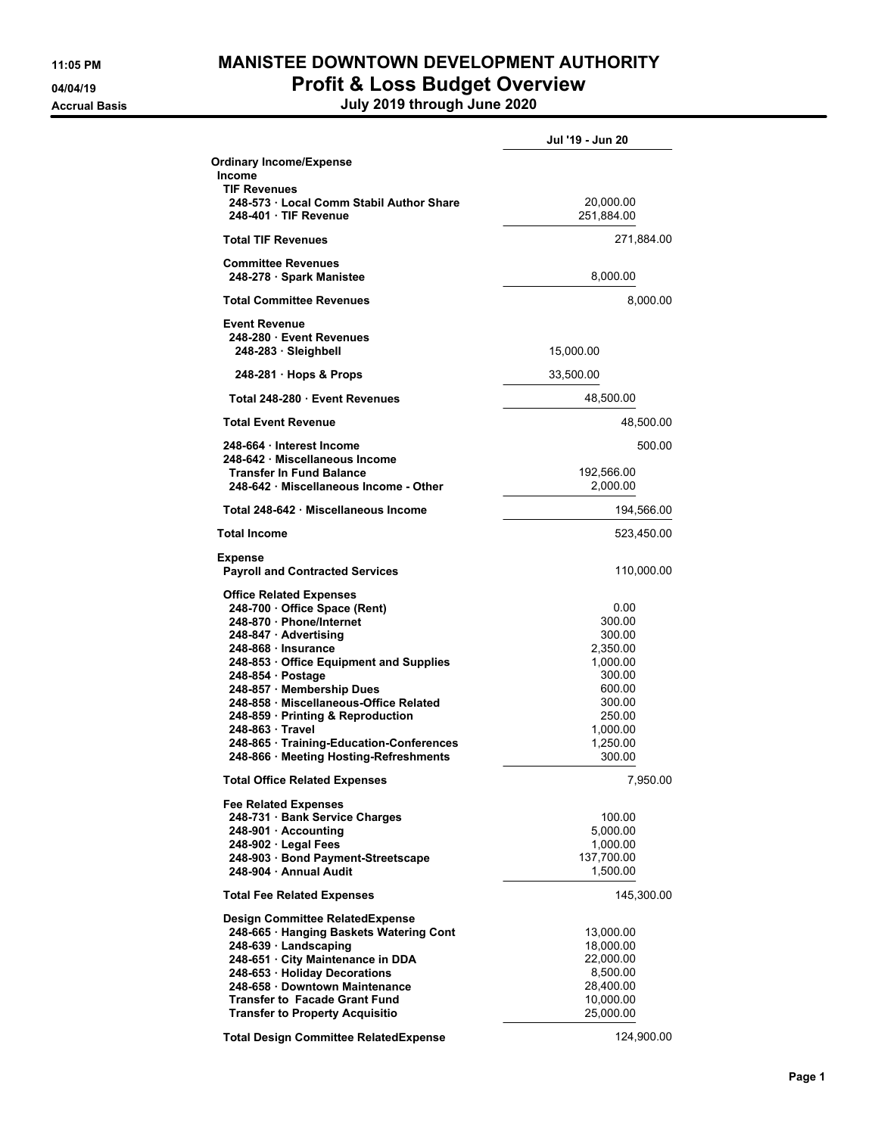## **11:05 PM MANISTEE DOWNTOWN DEVELOPMENT AUTHORITY 04/04/19 Profit & Loss Budget Overview**

**Accrual Basis July 2019 through June 2020**

|                                                                                    | Jul '19 - Jun 20     |
|------------------------------------------------------------------------------------|----------------------|
| <b>Ordinary Income/Expense</b>                                                     |                      |
| <b>Income</b>                                                                      |                      |
| <b>TIF Revenues</b><br>248-573 Local Comm Stabil Author Share                      | 20,000.00            |
| 248-401 TIF Revenue                                                                | 251,884.00           |
|                                                                                    |                      |
| <b>Total TIF Revenues</b>                                                          | 271,884.00           |
| <b>Committee Revenues</b>                                                          |                      |
| 248-278 · Spark Manistee                                                           | 8,000.00             |
| <b>Total Committee Revenues</b>                                                    | 8,000.00             |
| <b>Event Revenue</b>                                                               |                      |
| 248-280 Event Revenues                                                             |                      |
| 248-283 Sleighbell                                                                 | 15,000.00            |
| 248-281 · Hops & Props                                                             | 33,500.00            |
| Total 248-280 Event Revenues                                                       | 48,500.00            |
| <b>Total Event Revenue</b>                                                         | 48,500.00            |
| 248-664 Interest Income                                                            | 500.00               |
| 248-642 · Miscellaneous Income                                                     |                      |
| <b>Transfer In Fund Balance</b>                                                    | 192,566.00           |
| 248-642 Miscellaneous Income - Other                                               | 2,000.00             |
| Total 248-642 Miscellaneous Income                                                 | 194,566.00           |
| <b>Total Income</b>                                                                | 523,450.00           |
| <b>Expense</b>                                                                     |                      |
| <b>Payroll and Contracted Services</b>                                             | 110,000.00           |
| <b>Office Related Expenses</b>                                                     |                      |
| 248-700 · Office Space (Rent)                                                      | 0.00                 |
| 248-870 · Phone/Internet                                                           | 300.00               |
| 248-847 Advertising                                                                | 300.00               |
| 248-868 Insurance                                                                  | 2,350.00             |
| 248-853 Office Equipment and Supplies                                              | 1,000.00             |
| 248-854 Postage                                                                    | 300.00               |
| 248-857 · Membership Dues                                                          | 600.00               |
| 248-858 Miscellaneous-Office Related                                               | 300.00               |
| 248-859 Printing & Reproduction<br>248-863 · Travel                                | 250.00               |
|                                                                                    | 1,000.00<br>1,250.00 |
| 248-865 · Training-Education-Conferences<br>248-866 · Meeting Hosting-Refreshments | 300.00               |
|                                                                                    |                      |
| Total Office Related Expenses                                                      | 7,950.00             |
| <b>Fee Related Expenses</b>                                                        |                      |
| 248-731 Bank Service Charges                                                       | 100.00               |
| 248-901 Accounting                                                                 | 5,000.00             |
| 248-902 · Legal Fees                                                               | 1,000.00             |
| 248-903 · Bond Payment-Streetscape                                                 | 137,700.00           |
| 248-904 - Annual Audit                                                             | 1,500.00             |
| <b>Total Fee Related Expenses</b>                                                  | 145,300.00           |
| <b>Design Committee RelatedExpense</b>                                             |                      |
| 248-665 · Hanging Baskets Watering Cont                                            | 13,000.00            |
| 248-639 · Landscaping                                                              | 18,000.00            |
| 248-651 · City Maintenance in DDA                                                  | 22,000.00            |
| 248-653 · Holiday Decorations                                                      | 8,500.00             |
| 248-658 Downtown Maintenance                                                       | 28,400.00            |
| <b>Transfer to Facade Grant Fund</b>                                               | 10,000.00            |
| <b>Transfer to Property Acquisitio</b>                                             | 25,000.00            |
|                                                                                    |                      |
| <b>Total Design Committee RelatedExpense</b>                                       | 124,900.00           |